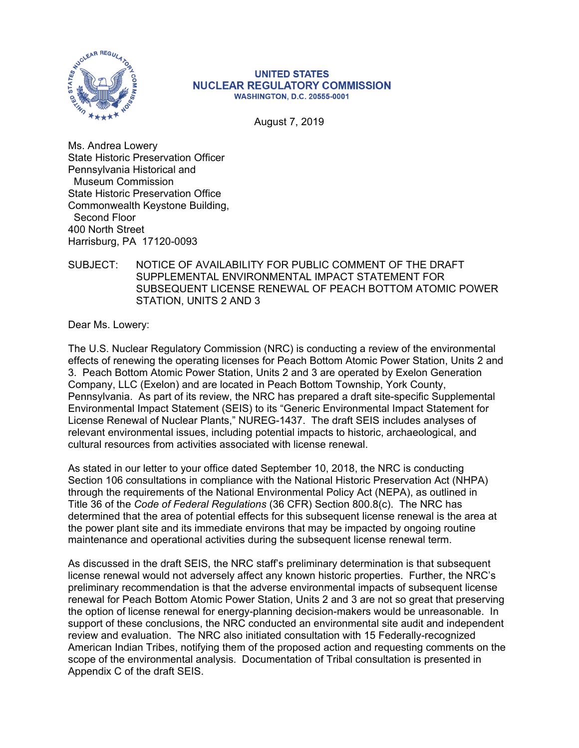

#### **UNITED STATES NUCLEAR REGULATORY COMMISSION WASHINGTON, D.C. 20555-0001**

August 7, 2019

Ms. Andrea Lowery State Historic Preservation Officer Pennsylvania Historical and Museum Commission State Historic Preservation Office Commonwealth Keystone Building, Second Floor 400 North Street Harrisburg, PA 17120-0093

# SUBJECT: NOTICE OF AVAILABILITY FOR PUBLIC COMMENT OF THE DRAFT SUPPLEMENTAL ENVIRONMENTAL IMPACT STATEMENT FOR SUBSEQUENT LICENSE RENEWAL OF PEACH BOTTOM ATOMIC POWER STATION, UNITS 2 AND 3

Dear Ms. Lowery:

The U.S. Nuclear Regulatory Commission (NRC) is conducting a review of the environmental effects of renewing the operating licenses for Peach Bottom Atomic Power Station, Units 2 and 3. Peach Bottom Atomic Power Station, Units 2 and 3 are operated by Exelon Generation Company, LLC (Exelon) and are located in Peach Bottom Township, York County, Pennsylvania. As part of its review, the NRC has prepared a draft site-specific Supplemental Environmental Impact Statement (SEIS) to its "Generic Environmental Impact Statement for License Renewal of Nuclear Plants," NUREG-1437. The draft SEIS includes analyses of relevant environmental issues, including potential impacts to historic, archaeological, and cultural resources from activities associated with license renewal.

As stated in our letter to your office dated September 10, 2018, the NRC is conducting Section 106 consultations in compliance with the National Historic Preservation Act (NHPA) through the requirements of the National Environmental Policy Act (NEPA), as outlined in Title 36 of the *Code of Federal Regulations* (36 CFR) Section 800.8(c). The NRC has determined that the area of potential effects for this subsequent license renewal is the area at the power plant site and its immediate environs that may be impacted by ongoing routine maintenance and operational activities during the subsequent license renewal term.

As discussed in the draft SEIS, the NRC staff's preliminary determination is that subsequent license renewal would not adversely affect any known historic properties. Further, the NRC's preliminary recommendation is that the adverse environmental impacts of subsequent license renewal for Peach Bottom Atomic Power Station, Units 2 and 3 are not so great that preserving the option of license renewal for energy-planning decision-makers would be unreasonable. In support of these conclusions, the NRC conducted an environmental site audit and independent review and evaluation. The NRC also initiated consultation with 15 Federally-recognized American Indian Tribes, notifying them of the proposed action and requesting comments on the scope of the environmental analysis. Documentation of Tribal consultation is presented in Appendix C of the draft SEIS.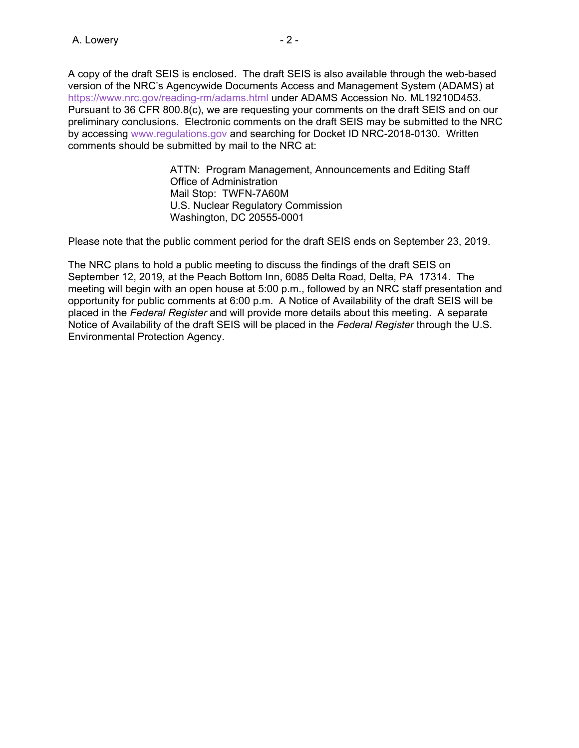A copy of the draft SEIS is enclosed. The draft SEIS is also available through the web-based version of the NRC's Agencywide Documents Access and Management System (ADAMS) at https://www.nrc.gov/reading-rm/adams.html under ADAMS Accession No. ML19210D453. Pursuant to 36 CFR 800.8(c), we are requesting your comments on the draft SEIS and on our preliminary conclusions. Electronic comments on the draft SEIS may be submitted to the NRC by accessing www.regulations.gov and searching for Docket ID NRC-2018-0130. Written comments should be submitted by mail to the NRC at:

> ATTN: Program Management, Announcements and Editing Staff Office of Administration Mail Stop: TWFN-7A60M U.S. Nuclear Regulatory Commission Washington, DC 20555-0001

Please note that the public comment period for the draft SEIS ends on September 23, 2019.

The NRC plans to hold a public meeting to discuss the findings of the draft SEIS on September 12, 2019, at the Peach Bottom Inn, 6085 Delta Road, Delta, PA 17314. The meeting will begin with an open house at 5:00 p.m., followed by an NRC staff presentation and opportunity for public comments at 6:00 p.m. A Notice of Availability of the draft SEIS will be placed in the *Federal Register* and will provide more details about this meeting. A separate Notice of Availability of the draft SEIS will be placed in the *Federal Register* through the U.S. Environmental Protection Agency.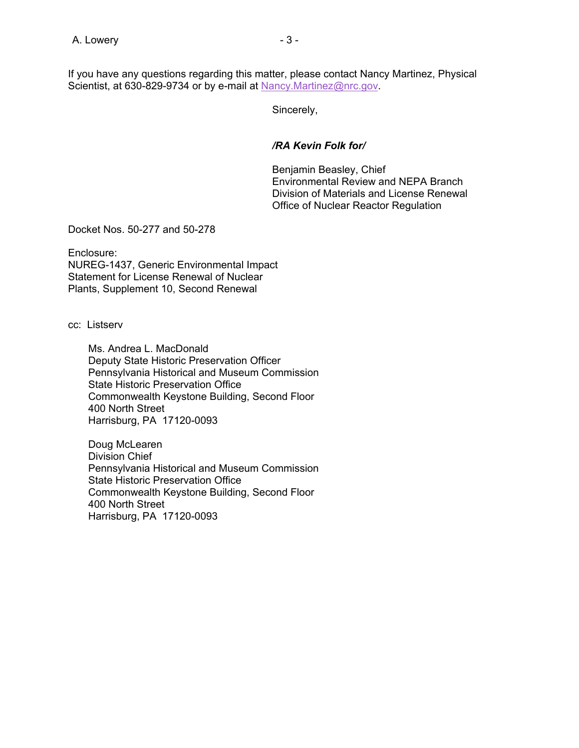If you have any questions regarding this matter, please contact Nancy Martinez, Physical Scientist, at 630-829-9734 or by e-mail at Nancy.Martinez@nrc.gov.

Sincerely,

*/RA Kevin Folk for/* 

 Benjamin Beasley, Chief Environmental Review and NEPA Branch Division of Materials and License Renewal Office of Nuclear Reactor Regulation

Docket Nos. 50-277 and 50-278

Enclosure: NUREG-1437, Generic Environmental Impact Statement for License Renewal of Nuclear Plants, Supplement 10, Second Renewal

cc: Listserv

 Ms. Andrea L. MacDonald Deputy State Historic Preservation Officer Pennsylvania Historical and Museum Commission State Historic Preservation Office Commonwealth Keystone Building, Second Floor 400 North Street Harrisburg, PA 17120-0093

 Doug McLearen Division Chief Pennsylvania Historical and Museum Commission State Historic Preservation Office Commonwealth Keystone Building, Second Floor 400 North Street Harrisburg, PA 17120-0093